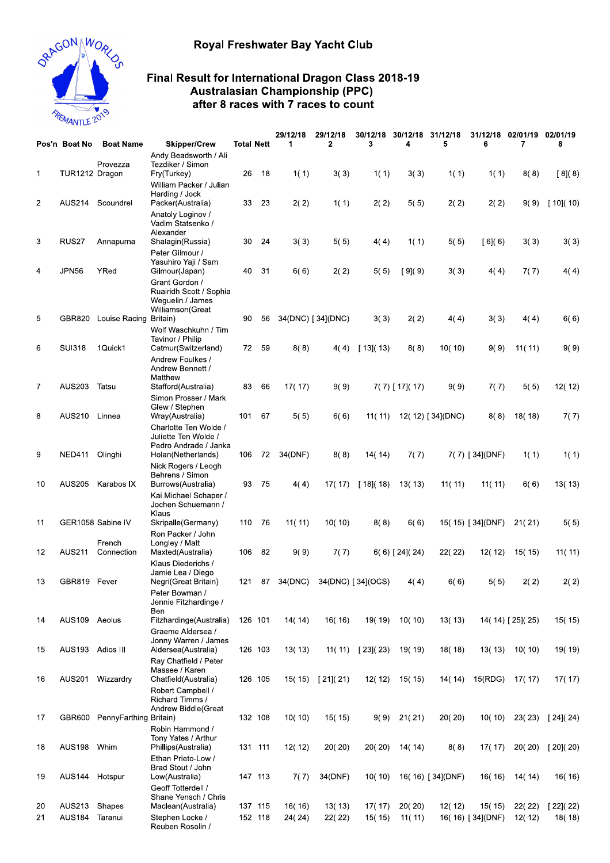## Royal Freshwater Bay Yacht Club



## Final Result for International Dragon Class 2018-19 Australasian Championship (PPC) after 8 races with 7 races to count

|                |                  |                               | <b>Final Result for International Dragon Class 2018-19</b><br><b>Australasian Championship (PPC)</b>   |                   |         |          |                   |                    |                   |                  |                   |                   |                 |  |
|----------------|------------------|-------------------------------|--------------------------------------------------------------------------------------------------------|-------------------|---------|----------|-------------------|--------------------|-------------------|------------------|-------------------|-------------------|-----------------|--|
| REMANTLE 2019  |                  |                               | after 8 races with 7 races to count                                                                    |                   |         |          |                   |                    |                   |                  |                   |                   |                 |  |
|                |                  |                               |                                                                                                        |                   |         | 29/12/18 | 29/12/18          | 30/12/18           | 30/12/18          | 31/12/18         | 31/12/18          | 02/01/19 02/01/19 |                 |  |
|                | Pos'n Boat No    | <b>Boat Name</b><br>Provezza  | <b>Skipper/Crew</b><br>Andy Beadsworth / Ali<br>Tezdiker / Simon                                       | <b>Total Nett</b> |         | 1        | 2                 | 3                  | 4                 | 5                | 6                 | 7                 | 8               |  |
| 1              | TUR1212 Dragon   |                               | Fry(Turkey)<br>William Packer / Julian                                                                 | 26                | 18      | 1(1)     | 3(3)              | 1(1)               | 3(3)              | 1(1)             | 1(1)              | 8(8)              | [8](8)          |  |
| $\overline{2}$ |                  | AUS214 Scoundrel              | Harding / Jock<br>Packer(Australia)<br>Anatoly Loginov /<br>Vadim Statsenko /                          | 33                | 23      | 2(2)     | 1(1)              | 2(2)               | 5(5)              | 2(2)             | 2(2)              | 9(9)              | [10](10)        |  |
| 3              | RUS27            | Annapurna                     | Alexander<br>Shalagin(Russia)<br>Peter Gilmour /                                                       | 30                | 24      | 3(3)     | 5(5)              | 4(4)               | 1(1)              | 5(5)             | [6] (6)           | 3(3)              | 3(3)            |  |
| 4              | <b>JPN56</b>     | YRed                          | Yasuhiro Yaji / Sam<br>Gilmour(Japan)<br>Grant Gordon /<br>Ruairidh Scott / Sophia<br>Weguelin / James | 40                | -31     | 6(6)     | 2(2)              | 5(5)               | [9] (9)           | 3(3)             | 4(4)              | 7(7)              | 4(4)            |  |
| 5              | GBR820           | Louise Racing Britain)        | Williamson(Great<br>Wolf Waschkuhn / Tim                                                               | 90                | 56      |          | 34(DNC) [34](DNC) | 3(3)               | 2(2)              | 4(4)             | 3(3)              | 4(4)              | 6(6)            |  |
| 6              | <b>SUI318</b>    | 1Quick1                       | Tavinor / Philip<br>Catmur(Switzerland)<br>Andrew Foulkes /<br>Andrew Bennett /                        |                   | 72 59   | 8(8)     | 4(4)              | [ 13]( 13)         | 8(8)              | 10(10)           | 9(9)              | 11(11)            | 9(9)            |  |
| $\overline{7}$ | <b>AUS203</b>    | Tatsu                         | Matthew<br>Stafford(Australia)<br>Simon Prosser / Mark                                                 | 83                | 66      | 17(17)   | 9(9)              |                    | $7(7)$ [ 17]( 17) | 9(9)             | 7(7)              | 5(5)              | 12(12)          |  |
| 8              | AUS210 Linnea    |                               | Glew / Stephen<br>Wray(Australia)<br>Charlotte Ten Wolde /<br>Juliette Ten Wolde /                     | 101               | 67      | 5(5)     | 6(6)              | 11(11)             |                   | 12(12) [34](DNC) | 8(8)              | 18(18)            | 7(7)            |  |
| 9              | <b>NED411</b>    | Olinghi                       | Pedro Andrade / Janka<br>Holan(Netherlands)<br>Nick Rogers / Leogh                                     | 106               | 72      | 34(DNF)  | 8(8)              | 14(14)             | 7(7)              |                  | $7(7)$ [ 34](DNF) | 1(1)              | 1(1)            |  |
| 10             | AUS205           | Karabos IX                    | Behrens / Simon<br>Burrows(Australia)<br>Kai Michael Schaper /<br>Jochen Schuemann /                   | 93                | -75     | 4(4)     |                   | 17(17) [18](18)    | 13(13)            | 11(11)           | 11(11)            | 6(6)              | 13(13)          |  |
| 11             |                  | GER1058 Sabine IV             | Klaus<br>Skripalle(Germany)<br>Ron Packer / John                                                       | 110               | -76     | 11(11)   | 10(10)            | 8(8)               | 6(6)              |                  | 15(15) [34](DNF)  | 21(21)            | 5(5)            |  |
| 12             | <b>AUS211</b>    | French<br>Connection          | Longley / Matt<br>Maxted(Australia)<br>Klaus Diederichs /                                              | 106               | 82      | 9(9)     | 7(7)              |                    | 6(6) [24] (24)    | 22(22)           | 12(12)            | 15(15)            | 11(11)          |  |
| 13             | GBR819 Fever     |                               | Jamie Lea / Diego<br>Negri(Great Britain)<br>Peter Bowman /<br>Jennie Fitzhardinge /                   |                   | 121 87  | 34(DNC)  |                   | 34(DNC) [ 34](OCS) | 4(4)              | 6(6)             | 5(5)              | 2(2)              | 2(2)            |  |
| 14             | AUS109 Aeolus    |                               | Ben<br>Fitzhardinge(Australia)<br>Graeme Aldersea /                                                    | 126 101           |         | 14(14)   | 16(16)            | 19(19)             | 10(10)            | 13(13)           |                   | 14(14) [25] (25)  | 15(15)          |  |
| 15             | AUS193 Adios III |                               | Jonny Warren / James<br>Aldersea(Australia)<br>Ray Chatfield / Peter                                   | 126 103           |         | 13(13)   |                   | 11(11) [23](23)    | 19(19)            | 18(18)           | 13(13)            | 10(10)            | 19(19)          |  |
| 16             | AUS201           | Wizzardry                     | Massee / Karen<br>Chatfield(Australia)<br>Robert Campbell /<br>Richard Timms /                         |                   | 126 105 | 15(15)   | [21](21)          | 12(12)             | 15(15)            | 14(14)           | 15(RDG)           | 17(17)            | 17(17)          |  |
| 17             |                  | GBR600 PennyFarthing Britain) | Andrew Biddle(Great<br>Robin Hammond /                                                                 | 132 108           |         | 10(10)   | 15(15)            | 9(9)               | 21(21)            | 20(20)           | 10(10)            | 23(23)            | [24](24)        |  |
| 18             | AUS198 Whim      |                               | Tony Yates / Arthur<br>Phillips(Australia)<br>Ethan Prieto-Low /                                       | 131 111           |         | 12(12)   | 20(20)            | 20(20)             | 14(14)            | 8(8)             | 17(17)            |                   | 20(20) [20](20) |  |
| 19             | AUS144 Hotspur   |                               | Brad Stout / John<br>Low(Australia)<br>Geoff Totterdell /<br>Shane Yensch / Chris                      |                   | 147 113 | 7(7)     | 34(DNF)           | 10(10)             |                   | 16(16) [34](DNF) | 16(16)            | 14(14)            | 16(16)          |  |
| 20             | <b>AUS213</b>    | Shapes                        | Maclean(Australia)                                                                                     | 137 115           |         | 16(16)   | 13(13)            | 17(17)             | 20(20)            | 12(12)           | 15(15)            | 22(22)            | $[22]$ $(22)$   |  |
| 21             | <b>AUS184</b>    | Taranui                       | Stephen Locke /<br>Reuben Rosolin /                                                                    |                   | 152 118 | 24(24)   | 22(22)            | 15(15)             | 11(11)            |                  | 16(16) [34](DNF)  | 12(12)            | 18(18)          |  |